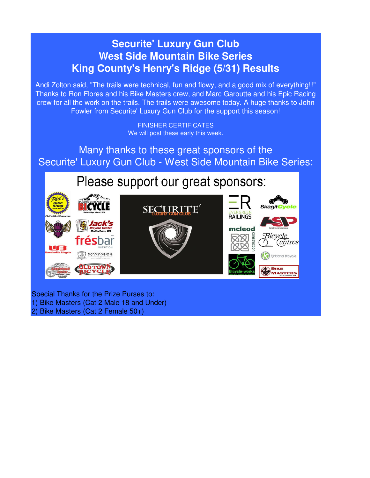# **Securite' Luxury Gun Club West Side Mountain Bike Series King County's Henry's Ridge (5/31) Results**

Andi Zolton said, "The trails were technical, fun and flowy, and a good mix of everything!!" Thanks to Ron Flores and his Bike Masters crew, and Marc Garoutte and his Epic Racing crew for all the work on the trails. The trails were awesome today. A huge thanks to John Fowler from Securite' Luxury Gun Club for the support this season!

> FINISHER CERTIFICATES We will post these early this week.

Many thanks to these great sponsors of the Securite' Luxury Gun Club - West Side Mountain Bike Series:

Please support our great sponsors:



Special Thanks for the Prize Purses to: 1) Bike Masters (Cat 2 Male 18 and Under)

2) Bike Masters (Cat 2 Female 50+)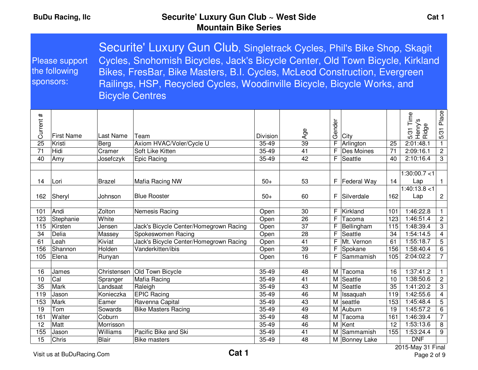| Please support<br>the following<br>sponsors: |            |               | Securite' Luxury Gun Club, Singletrack Cycles, Phil's Bike Shop, Skagit<br>Cycles, Snohomish Bicycles, Jack's Bicycle Center, Old Town Bicycle, Kirkland<br>Bikes, FresBar, Bike Masters, B.I. Cycles, McLeod Construction, Evergreen<br>Railings, HSP, Recycled Cycles, Woodinville Bicycle, Bicycle Works, and<br><b>Bicycle Centres</b> |                 |     |            |               |    |                                     |                |
|----------------------------------------------|------------|---------------|--------------------------------------------------------------------------------------------------------------------------------------------------------------------------------------------------------------------------------------------------------------------------------------------------------------------------------------------|-----------------|-----|------------|---------------|----|-------------------------------------|----------------|
| #<br>Current                                 | First Name | Last Name     | Team                                                                                                                                                                                                                                                                                                                                       | <b>Division</b> | Ąде | ender<br>৩ | <b>City</b>   |    | Time<br>Φ<br>Henry<br>Ridge<br>5/31 | Place<br>5/31  |
| 25                                           | Kristi     | Berg          | Axiom HVAC/Voler/Cycle U                                                                                                                                                                                                                                                                                                                   | 35-49           | 39  | F.         | Arlington     | 25 | 2:01:48.1                           |                |
| 71                                           | Hidi       | Cramer        | Soft Like Kitten                                                                                                                                                                                                                                                                                                                           | 35-49           | 41  | F.         | Des Moines    | 71 | 2:09:16.1                           | $\overline{2}$ |
| 40                                           | Amy        | Josefczyk     | Epic Racing                                                                                                                                                                                                                                                                                                                                | 35-49           | 42  |            | $F$ Seattle   | 40 | 2:10:16.4                           | 3              |
| 14                                           | ∐ ori      | <b>Brazel</b> | Mafia Racing NW                                                                                                                                                                                                                                                                                                                            | $50+$           | 53  |            | F Federal Way | 14 | 1:30:00.7<1<br>Lan.                 |                |

|     |           |              |                                        |           |    |   |               |     | 1:30:00.7<1      |                |
|-----|-----------|--------------|----------------------------------------|-----------|----|---|---------------|-----|------------------|----------------|
| 14  | Lori      | Brazel       | Mafia Racing NW                        | $50+$     | 53 | F | Federal Way   | 14  | Lap              |                |
|     |           |              |                                        |           |    |   |               |     | 1:40:13.8<1      |                |
| 162 | Sheryl    | Johnson      | <b>Blue Rooster</b>                    | $50+$     | 60 | F | Silverdale    | 162 | Lap              | $\overline{2}$ |
|     |           |              |                                        |           |    |   |               |     |                  |                |
| 101 | Andi      | Zolton       | Nemesis Racing                         | Open      | 30 | F | Kirkland      | 101 | :46:22.8         |                |
| 123 | Stephanie | White        |                                        | Open      | 26 | F | Tacoma        | 123 | 1:46:51.4        | $\overline{2}$ |
| 115 | Kirsten   | Jensen       | Jack's Bicycle Center/Homegrown Racing | Open      | 37 | F | Bellingham    | 115 | :48:39.4         | 3              |
| 34  | Delia     | Massey       | Spokeswomen Racing                     | Open      | 28 | F | Seattle       | 34  | 54:14.5 ا        | $\overline{4}$ |
| 61  | Leah      | Kiviat       | Jack's Bicycle Center/Homegrown Racing | Open      | 41 | F | Mt. Vernon    | 61  | :55:18.7         | 5              |
| 156 | Shannon   | Holden       | Vanderkitten/ibis                      | Open      | 39 | F | Spokane       | 156 | 1:58:40.4        | 6              |
| 105 | Elena     | Runyan       |                                        | Open      | 16 | F | Sammamish     | 105 | 2:04:02.2        | 7 <sup>1</sup> |
|     |           |              |                                        |           |    |   |               |     |                  |                |
| 16  | James     | Christensen  | Old Town Bicycle                       | $35 - 49$ | 48 | M | <b>Tacoma</b> | 16  | 1:37:41.2        |                |
| 10  | Cal       | Spranger     | Mafia Racing                           | 35-49     | 41 | M | Seattle       | 10  | :38:50.6         | $\overline{c}$ |
| 35  | Mark      | Landsaat     | Raleigh                                | 35-49     | 43 |   | M Seattle     | 35  | 1:41:20.2        | 3              |
| 119 | Jason     | Konieczka    | <b>EPIC Racing</b>                     | 35-49     | 46 | м | Issaquah      | 119 | :42:55.6         | 4              |
| 153 | Mark      | Eamer        | Ravenna Capital                        | 35-49     | 43 |   | M seattle     | 153 | 1:45:48.4        | 5              |
| 19  | Tom       | Sowards      | <b>Bike Masters Racing</b>             | 35-49     | 49 |   | M Auburn      | 19  | 1:45:57.2        | 6              |
| 161 | Walter    | Coburn       |                                        | 35-49     | 48 | M | Tacoma        | 161 | 1:46:39.4        | $\overline{7}$ |
| 12  | Matt      | Morrisson    |                                        | 35-49     | 46 | М | Kent          | 12  | 1:53:13.6        | 8              |
| 155 | Jason     | Williams     | Pacific Bike and Ski                   | 35-49     | 41 | М | Sammamish     | 155 | 1:53:24.4        | 9              |
| 15  | Chris     | <b>Blair</b> | <b>Bike masters</b>                    | 35-49     | 48 |   | M Bonney Lake |     | <b>DNF</b>       |                |
|     |           |              |                                        |           |    |   |               |     | $0.2511 - 0.151$ |                |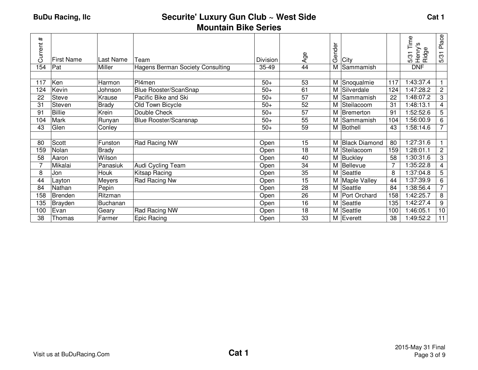|                      | Time<br>w                    | Place           |
|----------------------|------------------------------|-----------------|
|                      | Henry'<br>Ф<br>Ridge<br>5/31 | 5/31            |
|                      | <b>DNF</b>                   |                 |
|                      |                              |                 |
| 117                  | 1:43:37.4                    |                 |
| 124                  | 1:47:28.2                    | $\overline{2}$  |
| 22                   | 1:48:07.2                    | 3               |
| 31                   | :48:13.1                     | 4               |
| 91                   | :52:52.6                     | 5               |
| 104                  | :56:00.9                     | 6               |
| 43                   | 1:58:14.6                    | 7 <sup>1</sup>  |
|                      |                              |                 |
| 80                   | 1:27:31.6                    |                 |
| 159                  | 1:28:01.1                    | $\overline{c}$  |
| 58                   | 1:30:31.6                    | 3               |
| 7                    | :35:22.8                     | 4               |
| 8                    | 1:37:04.8                    | 5               |
| 44                   | 1:37:39.9                    | 6               |
| 84                   | 1:38:56.4                    | 7 <sup>1</sup>  |
| 158                  | 1:42:25.7                    | 8               |
| 135                  | 1:42:27.4                    | 9               |
| 100                  | 1:46:05.1                    | 10 <sup>1</sup> |
| 38                   | 1:49:52.2                    | 11              |
| <b>Black Diamond</b> |                              |                 |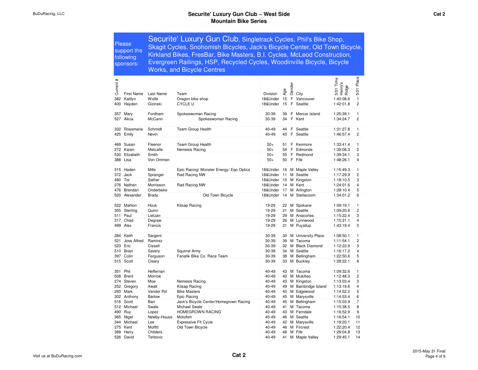| <b>Please</b><br>support the<br>following<br>sponsors: |                              |                      | Securite' Luxury Gun Club, Singletrack Cycles, Phil's Bike Shop,<br>Skagit Cycles, Snohomish Bicycles, Jack's Bicycle Center, Old Town Bicycle,<br>Kirkland Bikes, FresBar, Bike Masters, B.I. Cycles, McLeod Construction,<br>Evergreen Railings, HSP, Recycled Cycles, Woodinville Bicycle, Bicycle<br><b>Works, and Bicycle Centres</b> |                      |          |        |                         |                                         |                          |  |  |  |  |
|--------------------------------------------------------|------------------------------|----------------------|--------------------------------------------------------------------------------------------------------------------------------------------------------------------------------------------------------------------------------------------------------------------------------------------------------------------------------------------|----------------------|----------|--------|-------------------------|-----------------------------------------|--------------------------|--|--|--|--|
| #<br>Current                                           |                              |                      |                                                                                                                                                                                                                                                                                                                                            |                      | Age      | Gender |                         | 31 Time<br>5/31 Tim<br>Henry's<br>Ridge | Place<br>$\overline{31}$ |  |  |  |  |
| 382                                                    | <b>First Name</b><br>Kaitlyn | Last Name<br>Wolfe   | Team                                                                                                                                                                                                                                                                                                                                       | Division<br>18&Under | 15       | F      | City                    | 1:40:08.6                               | πò<br>$\mathbf{1}$       |  |  |  |  |
| 400                                                    | Hayden                       | Gizinski             | Oregon bike shop<br><b>CYCLE U</b>                                                                                                                                                                                                                                                                                                         | 18&Under             | 15       | F      | Vancouver<br>Seattle    | 1:42:01.8                               | $\overline{2}$           |  |  |  |  |
|                                                        |                              |                      |                                                                                                                                                                                                                                                                                                                                            |                      |          |        |                         |                                         |                          |  |  |  |  |
| 357<br>527                                             | Mary<br>Alicia               | Fordham<br>McCann    | Spokeswoman Racing<br>Spokeswoman Racing                                                                                                                                                                                                                                                                                                   | 30-39<br>30-39       | 39<br>34 | F<br>F | Mercer Island<br>Kent   | 1:25:39.1<br>1:34:24.7                  | 1<br>$\overline{2}$      |  |  |  |  |
| 332<br>425                                             | Rosemarie<br>Emily           | Schmidt<br>Nevin     | Team Group Health                                                                                                                                                                                                                                                                                                                          | 40-49<br>40-49       | 44<br>45 | F<br>F | Seattle<br>Seattle      | 1:31:27.8<br>1:46:57.4                  | 1<br>2                   |  |  |  |  |
| 469                                                    | Susan                        | Fleenor              | <b>Team Group Health</b>                                                                                                                                                                                                                                                                                                                   | $50+$                | 51       | F      | Kenmore                 | 1:33:41.4                               | 1                        |  |  |  |  |
| 272                                                    | Karen                        | Metcalfe             | Nemesis Racing                                                                                                                                                                                                                                                                                                                             | $50+$                | 54       | F      | Edmonds                 | 1:39:06.3                               | $\overline{c}$           |  |  |  |  |
| 530                                                    | Elizabeth                    | Smith                |                                                                                                                                                                                                                                                                                                                                            | $50+$                | 55       | F      | Redmond                 | 1:39:34.1                               | 3                        |  |  |  |  |
| 388                                                    | Lisa                         | Von Ommen            |                                                                                                                                                                                                                                                                                                                                            | $50+$                | 50       | F      | Fife                    | 1:48:26.1                               | 4                        |  |  |  |  |
| 315                                                    | Haden                        | Mills                | Epic Racing/ Monster Energy/ Ego Optics                                                                                                                                                                                                                                                                                                    | 18&Under             | -16      |        | M Maple Valley          | 1:15:49.3                               | 1                        |  |  |  |  |
| 372                                                    | Jack                         | Spranger             | Rad Racing NW                                                                                                                                                                                                                                                                                                                              | 18&Under             | 11       | М      | Seattle                 | 1:17:29.9                               | $\overline{c}$           |  |  |  |  |
| 480                                                    | Tor                          | Sather               |                                                                                                                                                                                                                                                                                                                                            | 18&Under             | 15       |        | M Kingston              | 1:18:10.5                               | 3                        |  |  |  |  |
| 276                                                    | Nathan                       | Morrisson            | Rad Racing NW                                                                                                                                                                                                                                                                                                                              | 18&Under             | 14       |        | M Kent                  | 1:24:01.6                               | $\overline{4}$           |  |  |  |  |
| 476                                                    | Brendan                      | Onderbeke            |                                                                                                                                                                                                                                                                                                                                            | 18&Under             | 17       |        | M : Arlington           | 1:28:10.4                               | 5                        |  |  |  |  |
| 520                                                    | Alexander                    | Brady                | Old Town Bicycle                                                                                                                                                                                                                                                                                                                           | 18&Under             | 14       |        | M Steilacoom            | 1:34:01.2                               | 6                        |  |  |  |  |
| 522                                                    | Mahlon                       | Houk                 | Kitsap Racing                                                                                                                                                                                                                                                                                                                              | 19-29                | 22       |        | M Spokane               | 1:09:19.1                               | 1                        |  |  |  |  |
| 355                                                    | Sterling                     | Quinn                |                                                                                                                                                                                                                                                                                                                                            | 19-29                | 21       |        | M Seattle               | 1:09:20.6                               | $\overline{2}$           |  |  |  |  |
| 511                                                    | Paul                         | Lietzan              |                                                                                                                                                                                                                                                                                                                                            | 19-29                | 29       |        | M Anacortes             | 1:15:22.4                               | 3                        |  |  |  |  |
| 317                                                    | Chad                         | Degraw               |                                                                                                                                                                                                                                                                                                                                            | 19-29                | 26       |        | M Lynnwood              | 1:15:31.1                               | 4                        |  |  |  |  |
| 499                                                    | Alex                         | Francis              |                                                                                                                                                                                                                                                                                                                                            | 19-29                | 21       |        | M Puyallup              | 1:43:19.4                               | 5                        |  |  |  |  |
| 284                                                    | Keith                        | Sargent              |                                                                                                                                                                                                                                                                                                                                            | 30-39                | 30       |        | M University Place      | 1:08:50.1                               | 1                        |  |  |  |  |
| 521                                                    | Jose Alfred                  | Ramirez              |                                                                                                                                                                                                                                                                                                                                            | 30-39                | 39       |        | M Tacoma                | 1:11:54.1                               | $\overline{c}$           |  |  |  |  |
| 523                                                    | Eric                         | Cissell              |                                                                                                                                                                                                                                                                                                                                            | 30-39                | 32       |        | M Black Diamond         | 1:12:22.9                               | 3                        |  |  |  |  |
| 510                                                    | Brian                        | Savery               | Squirrel Army                                                                                                                                                                                                                                                                                                                              | 30-39                | 34       |        | M Seattle               | 1:16:17.2                               | 4                        |  |  |  |  |
|                                                        | 397 Colin                    | Ferguson             | Fanatik Bike Co. Race Team                                                                                                                                                                                                                                                                                                                 | 30-39                | 38       |        | M Bellingham            | 1:22:50.6                               | 5                        |  |  |  |  |
| 515                                                    | Scott                        | Cleary               |                                                                                                                                                                                                                                                                                                                                            | 30-39                | 33       |        | M Buckley               | 1:28:22.1                               | 6                        |  |  |  |  |
| 351                                                    | Phil                         | Heffernan            |                                                                                                                                                                                                                                                                                                                                            | 40-49                | 43       |        | M Tacoma                | 1:09:32.6                               | 1                        |  |  |  |  |
| 508                                                    | <b>Brent</b>                 | Morrow               |                                                                                                                                                                                                                                                                                                                                            | 40-49                | 40       |        | M Mukilteo              | 1:12:48.3                               | $\overline{c}$           |  |  |  |  |
| 274                                                    | Steven                       | Moe                  | Nemesis Racing                                                                                                                                                                                                                                                                                                                             | 40-49                | 43       |        | M Kingston              | 1:13:03.4                               | 3                        |  |  |  |  |
| 252                                                    | Gregory                      | Awalt                | Kitsap Racing                                                                                                                                                                                                                                                                                                                              | 40-49                | 49       |        | M Bainbridge Island     | 1:13:19.6                               | 4                        |  |  |  |  |
| 293                                                    | Mark                         | Vander Pol           | <b>Bike Masters</b>                                                                                                                                                                                                                                                                                                                        | 40-49                | 40       |        | M Edgewood              | 1:14:52.2                               | 5                        |  |  |  |  |
| 302                                                    | Anthony                      | Barlow               | Epic Racing                                                                                                                                                                                                                                                                                                                                | 40-49                | 45       |        | M Marysville            | 1:14:53.4                               | 6                        |  |  |  |  |
| 516                                                    | Scott                        | Barr                 | Jack's Bicycle Center/Homegrown Racing                                                                                                                                                                                                                                                                                                     | 40-49                | 45       |        | M Bellingham            | 1:15:03.9                               | 7                        |  |  |  |  |
| 512                                                    | Michael                      | Swale                | Michael Swale                                                                                                                                                                                                                                                                                                                              | 40-49                | 41       |        | M Tacoma                | 1:15:38.5                               | 8                        |  |  |  |  |
| 490                                                    | Ruy                          | Lopez<br>Newby-House | HOMEGROWN RACING                                                                                                                                                                                                                                                                                                                           | 40-49                | 43       |        | M Ferndale<br>M Seattle | 1:16:52.9                               | 9                        |  |  |  |  |
| 365<br>344                                             | Nigel<br>Michael             | Lee                  | Motofish<br><b>Expressive Fit Cycle</b>                                                                                                                                                                                                                                                                                                    | 40-49<br>40-49       | 46<br>42 |        | M Marysville            | 1:16:54.1<br>1:19:20.1                  | 10<br>11                 |  |  |  |  |
| 275                                                    | Kent                         | Moffitt              | Old Town Bicycle                                                                                                                                                                                                                                                                                                                           | 40-49                | 46       |        | M Fircrest              | 1:22:20.4                               | 12                       |  |  |  |  |
| 389                                                    | Harry                        | Childers             |                                                                                                                                                                                                                                                                                                                                            | 40-49                | 48       | м      | Fife                    | 1:29:04.8                               | 13                       |  |  |  |  |
|                                                        | 526 David                    | Terbovic             |                                                                                                                                                                                                                                                                                                                                            | 40-49                | 41       |        | M : Maple Valley        | 1:29:45.1                               | 14                       |  |  |  |  |
|                                                        |                              |                      |                                                                                                                                                                                                                                                                                                                                            |                      |          |        |                         |                                         |                          |  |  |  |  |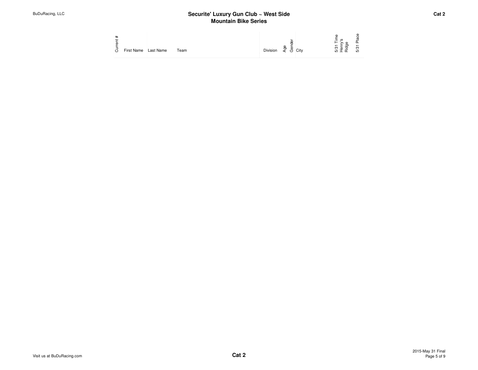| . |            |           |      |  |  |
|---|------------|-----------|------|--|--|
|   | First Name | Last Name | Team |  |  |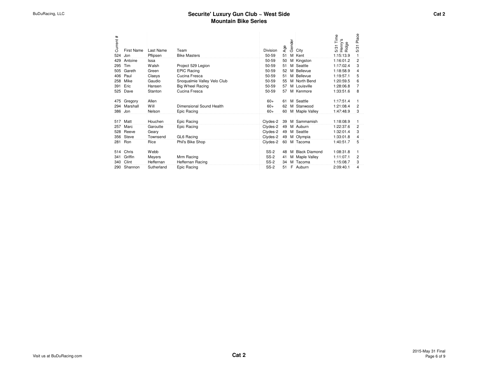| Current # | <b>First Name</b> | Last Name  | Team                        | Division    | Age          | Gender | City               | 5/31 Time<br>Henry's<br>Ridge | Place<br>5/31  |
|-----------|-------------------|------------|-----------------------------|-------------|--------------|--------|--------------------|-------------------------------|----------------|
| 524       | Jon               | Pflipsen   | <b>Bike Masters</b>         | 50-59       | 51           |        | M Kent             | 1:15:13.9                     | 1              |
| 429       | Antoine           | Issa       |                             | 50-59       | 50           |        | M Kingston         | 1:16:01.2                     | $\overline{2}$ |
| 295       | Tim               | Walsh      | Project 529 Legion          | 50-59       | 51           |        | M Seattle          | 1:17:02.4                     | 3              |
| 505       | Gareth            | Green      | <b>EPIC Racing</b>          | 50-59       | 52           |        | M Bellevue         | 1:18:58.9                     | 4              |
| 406       | Paul              | Claeys     | Cucina Fresca               | 50-59       | 51           |        | M Bellevue         | 1:19:57.1                     | 5              |
| 258       | Mike              | Gaudio     | Snoqualmie Valley Velo Club | 50-59       | $55^{\circ}$ |        | M North Bend       | 1:20:59.5                     | 6              |
| 391       | Eric              | Hansen     | Big Wheel Racing            | 50-59       | 57           |        | M Louisville       | 1:28:06.8                     | 7              |
| 525       | Dave              | Stanton    | Cucina Fresca               | 50-59       | 57           |        | M Kenmore          | 1:33:51.6                     | 8              |
| 475       | Gregory           | Allen      |                             | $60+$       | 61           |        | M Seattle          | 1:17:51.4                     | 1              |
| 294       | Marshall          | Will       | Dimensional Sound Health    | $60+$       | 62           |        | M Stanwood         | 1:21:08.4                     | 2              |
| 386 Jon   |                   | Nelson     | Epic Racing                 | $60+$       |              |        | 60 M Maple Valley  | 1:47:48.9                     | 3              |
|           |                   |            |                             |             |              |        |                    |                               |                |
| 517       | Matt              | Houchen    | Epic Racing                 | Clydes-2    |              |        | 39 M Sammamish     | 1:18:08.9                     | 1              |
| 257       | Marc              | Garoutte   | Epic Racing                 | Clydes-2    |              |        | 49 M Auburn        | 1:22:37.6                     | 2              |
| 528       | Reeve             | Geary      |                             | Clydes-2    |              |        | 49 M Seattle       | 1:32:01.4                     | 3              |
|           | 356 Steve         | Townsend   | <b>GL6 Racing</b>           | Clvdes-2    |              |        | 49 M Olympia       | 1:33:01.8                     | 4              |
| 281       | Ron               | Rice       | Phil's Bike Shop            | Clydes-2    |              |        | 60 M Tacoma        | 1:40:51.7                     | 5              |
| 514       | Chris             | Webb       |                             | $SS-2$      |              |        | 48 M Black Diamond | 1:08:31.8                     | 1              |
| 341       | Griffin           | Meyers     | Mrm Racing                  | $SS-2$      | 41           |        | M Maple Valley     | 1:11:07.1                     | $\overline{2}$ |
| 340       | Clint             | Heffernan  | Heffernan Racing            | $SS-2$      |              |        | 34 M Tacoma        | 1:15:08.7                     | 3              |
| 290       | Shannon           | Sutherland | Epic Racing                 | <b>SS-2</b> |              |        | 51 F Auburn        | 2:09:40.1                     | 4              |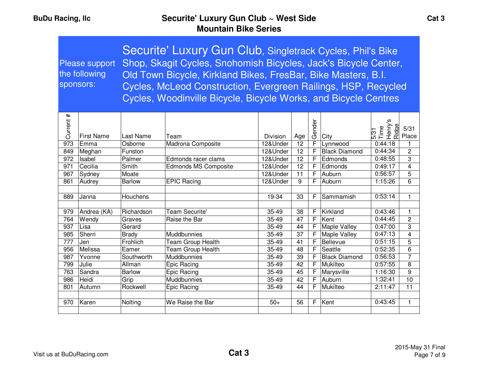| sponsors:  | Please support<br>the following | Securite' Luxury Gun Club, Singletrack Cycles, Phil's Bike<br>Shop, Skagit Cycles, Snohomish Bicycles, Jack's Bicycle Center,<br>Old Town Bicycle, Kirkland Bikes, FresBar, Bike Masters, B.I.<br>Cycles, McLeod Construction, Evergreen Railings, HSP, Recycled<br>Cycles, Woodinville Bicycle, Bicycle Works, and Bicycle Centres |                             |                |                 |                     |                                  |                                       |                                           |  |  |  |
|------------|---------------------------------|-------------------------------------------------------------------------------------------------------------------------------------------------------------------------------------------------------------------------------------------------------------------------------------------------------------------------------------|-----------------------------|----------------|-----------------|---------------------|----------------------------------|---------------------------------------|-------------------------------------------|--|--|--|
| Current #  |                                 |                                                                                                                                                                                                                                                                                                                                     |                             |                |                 | Gender              |                                  | თ<br>5/31<br>Time<br>Henry's<br>Ridge | 5/31                                      |  |  |  |
|            | <b>First Name</b>               | Last Name                                                                                                                                                                                                                                                                                                                           | Team                        | Division       | Age             |                     | City                             |                                       | Place                                     |  |  |  |
| 973        | Emma                            | Osborne                                                                                                                                                                                                                                                                                                                             | Madrona Composite           | 12&Under       | 12              | F                   | Lynnwood                         | 0:44:18                               | 1                                         |  |  |  |
| 849        | Meghan                          | Funston                                                                                                                                                                                                                                                                                                                             |                             | 12&Under       | 12              | F                   | <b>Black Diamond</b>             | 0:44:34                               | $\overline{c}$                            |  |  |  |
| 972        | Isabel                          | Palmer                                                                                                                                                                                                                                                                                                                              | Edmonds racer clams         | 12&Under       | 12              | F                   | Edmonds                          | 0:48:55                               | 3                                         |  |  |  |
| 971        | Cecilia                         | Smith                                                                                                                                                                                                                                                                                                                               | <b>Edmonds MS Composite</b> | 12&Under       | $\overline{12}$ | $\overline{F}$      | Edmonds                          | 0:49:17                               | $\overline{\mathbf{4}}$                   |  |  |  |
| 967        | Sydney                          | Moate                                                                                                                                                                                                                                                                                                                               |                             | 12&Under       | 11              | F                   | Auburn                           | 0:56:57                               | 5                                         |  |  |  |
| 861        | Audrey                          | <b>Barlow</b>                                                                                                                                                                                                                                                                                                                       | <b>EPIC Racing</b>          | 12&Under       | 9               | F                   | Auburn                           | 1:15:26                               | 6                                         |  |  |  |
|            |                                 |                                                                                                                                                                                                                                                                                                                                     |                             |                |                 |                     |                                  |                                       |                                           |  |  |  |
| 889        | Janna                           | Houchens                                                                                                                                                                                                                                                                                                                            |                             | 19-34          | 33              | F.                  | Sammamish                        | 0:53:14                               | $\mathbf{1}$                              |  |  |  |
|            |                                 |                                                                                                                                                                                                                                                                                                                                     |                             |                |                 |                     |                                  |                                       |                                           |  |  |  |
| 979        | Andrea (KA)                     | Richardson                                                                                                                                                                                                                                                                                                                          | <b>Team Securite'</b>       | 35-49          | 38              | F                   | Kirkland                         | 0:43:46                               | $\mathbf{1}$                              |  |  |  |
| 764        | Wendy                           | Graves                                                                                                                                                                                                                                                                                                                              | Raise the Bar               | 35-49          | 47              | F                   | Kent                             | 0:44:45                               | $\overline{c}$                            |  |  |  |
| 937        | Lisa                            | Gerard                                                                                                                                                                                                                                                                                                                              |                             | 35-49          | 44              | F                   | <b>Maple Valley</b>              | 0:47:00                               | 3                                         |  |  |  |
| 985        | Sherri                          | <b>Brady</b>                                                                                                                                                                                                                                                                                                                        | Muddbunnies                 | 35-49          | 37              | F<br>F              | <b>Maple Valley</b><br>Bellevue  | 0:47:13<br>0:51:15                    | $\overline{\mathbf{4}}$<br>$\overline{5}$ |  |  |  |
| 777<br>956 | Jen<br>Melissa                  | Frohlich                                                                                                                                                                                                                                                                                                                            | Team Group Health           | 35-49          | 41<br>48        | F                   | Seattle                          | 0:52:35                               | $\overline{6}$                            |  |  |  |
|            |                                 | Eamer                                                                                                                                                                                                                                                                                                                               | Team Group Health           | 35-49          |                 |                     |                                  |                                       | $\overline{7}$                            |  |  |  |
| 987<br>799 | Yvonne<br>Julie                 | Southworth<br>Allman                                                                                                                                                                                                                                                                                                                | Muddbunnies                 | 35-49<br>35-49 | 39<br>42        | F<br>$\overline{F}$ | <b>Black Diamond</b><br>Mukilteo | 0:56:53<br>0:57:55                    | 8                                         |  |  |  |
|            |                                 |                                                                                                                                                                                                                                                                                                                                     | Epic Racing                 |                | 45              |                     |                                  |                                       | 9                                         |  |  |  |
| 763        | Sandra<br>Heidi                 | <b>Barlow</b>                                                                                                                                                                                                                                                                                                                       | Epic Racing                 | 35-49<br>35-49 | 42              | F                   | Marysville<br>Auburn             | 1:16:30<br>1:32:41                    | $\overline{10}$                           |  |  |  |
| 986        |                                 | Grip<br>Rockwell                                                                                                                                                                                                                                                                                                                    | Muddbunnies                 |                |                 | F.                  |                                  |                                       |                                           |  |  |  |
| 801        | Autumn                          |                                                                                                                                                                                                                                                                                                                                     | Epic Racing                 | 35-49          | 44              |                     | Mukilteo                         | 2:11:47                               | 11                                        |  |  |  |
| 970        | Karen                           |                                                                                                                                                                                                                                                                                                                                     | We Raise the Bar            | $50+$          | 56              | F.                  | Kent                             | 0:43:45                               | $\mathbf{1}$                              |  |  |  |
|            |                                 | Nolting                                                                                                                                                                                                                                                                                                                             |                             |                |                 |                     |                                  |                                       |                                           |  |  |  |
|            |                                 |                                                                                                                                                                                                                                                                                                                                     |                             |                |                 |                     |                                  |                                       |                                           |  |  |  |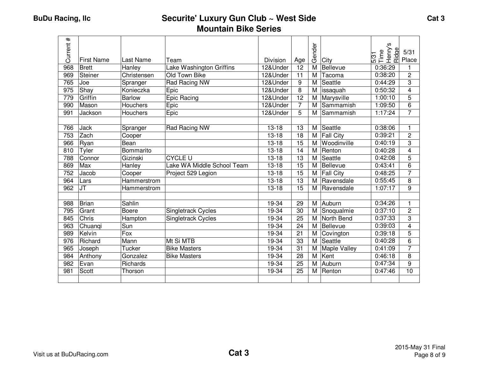| $\pmb{\ast}$<br>Current | <b>First Name</b> | Last Name       | Team                       | Division  | Age             | Gender | City             | ဖ<br>Henry's<br>Ridge<br>5/31<br>Time | 5/31<br>Place  |
|-------------------------|-------------------|-----------------|----------------------------|-----------|-----------------|--------|------------------|---------------------------------------|----------------|
| 968                     | <b>Brett</b>      | Hanley          | Lake Washington Griffins   | 12&Under  | 12              | M      | Bellevue         | 0:36:29                               |                |
| 969                     | <b>Steiner</b>    | Christensen     | Old Town Bike              | 12&Under  | 11              | M      | Tacoma           | 0:38:20                               | $\overline{c}$ |
| 765                     | Joe               | Spranger        | Rad Racing NW              | 12&Under  | 9               | M      | Seattle          | 0:44:29                               | 3              |
| 975                     | Shay              | Konieczka       | Epic                       | 12&Under  | 8               | M      | issaquah         | 0:50:32                               | 4              |
| 779                     | Griffin           | <b>Barlow</b>   | Epic Racing                | 12&Under  | $\overline{12}$ | M      | Marysville       | 1:00:10                               | 5              |
| 990                     | Mason             | Houchers        | Epic                       | 12&Under  | $\overline{7}$  | M      | Sammamish        | 1:09:50                               | 6              |
| 991                     | Jackson           | <b>Houchers</b> | Epic                       | 12&Under  | 5               | м      | Sammamish        | 1:17:24                               | 7              |
|                         |                   |                 |                            |           |                 |        |                  |                                       |                |
| 766                     | <b>Jack</b>       | Spranger        | Rad Racing NW              | $13 - 18$ | 13              | M      | Seattle          | 0:38:06                               | 1              |
| 753                     | Zach              | Cooper          |                            | $13 - 18$ | 18              | M      | <b>Fall City</b> | 0:39:21                               | 2              |
| 966                     | Ryan              | Bean            |                            | $13 - 18$ | 15              | M      | Woodinville      | 0:40:19                               | 3              |
| 810                     | Tyler             | Bommarito       |                            | $13 - 18$ | 14              | M      | Renton           | 0:40:28                               | $\overline{4}$ |
| 788                     | Connor            | Gizinski        | <b>CYCLE U</b>             | $13 - 18$ | 13              | M      | Seattle          | 0:42:08                               | 5              |
| 869                     | Max               | Hanley          | Lake WA Middle School Team | $13 - 18$ | $\overline{15}$ | M      | Bellevue         | 0:43:41                               | 6              |
| 752                     | Jacob             | Cooper          | Project 529 Legion         | $13 - 18$ | 15              | м      | <b>Fall City</b> | 0:48:25                               | 7              |
| 964                     | Lars              | Hammerstrom     |                            | $13 - 18$ | 13              | м      | Ravensdale       | 0:55:45                               | 8              |
| 962                     | <b>JT</b>         | Hammerstrom     |                            | $13 - 18$ | $\overline{15}$ | M      | Ravensdale       | 1:07:17                               | 9              |
|                         |                   |                 |                            |           |                 |        |                  |                                       |                |
| 988                     | <b>Brian</b>      | Sahlin          |                            | 19-34     | 29              | M      | Auburn           | 0:34:26                               | 1              |
| 795                     | Grant             | <b>Boere</b>    | Singletrack Cycles         | 19-34     | 30              | M      | Snoqualmie       | 0:37:10                               | 2              |
| 845                     | Chris             | Hampton         | <b>Singletrack Cycles</b>  | 19-34     | 25              | м      | North Bend       | 0:37:33                               | 3              |
| 963                     | Chuangi           | Sun             |                            | 19-34     | 24              | M      | Bellevue         | 0:39:03                               | 4              |
| 989                     | Kelvin            | Fox             |                            | 19-34     | 21              | M      | Covington        | 0:39:18                               | 5              |
| 976                     | Richard           | Mann            | Mt Si MTB                  | 19-34     | 33              | M      | Seattle          | 0:40:28                               | 6              |
| 965                     | Joseph            | Tucker          | <b>Bike Masters</b>        | 19-34     | 31              | M      | Maple Valley     | 0:41:09                               | 7              |
| 984                     | Anthony           | Gonzalez        | <b>Bike Masters</b>        | $19 - 34$ | 28              | M      | Kent             | 0:46:18                               | 8              |
| 982                     | Evan              | Richards        |                            | 19-34     | 25              | M      | Auburn           | 0:47:34                               | 9              |
| 981                     | Scott             | Thorson         |                            | 19-34     | $\overline{25}$ | M      | Renton           | 0:47:46                               | 10             |
|                         |                   |                 |                            |           |                 |        |                  |                                       |                |